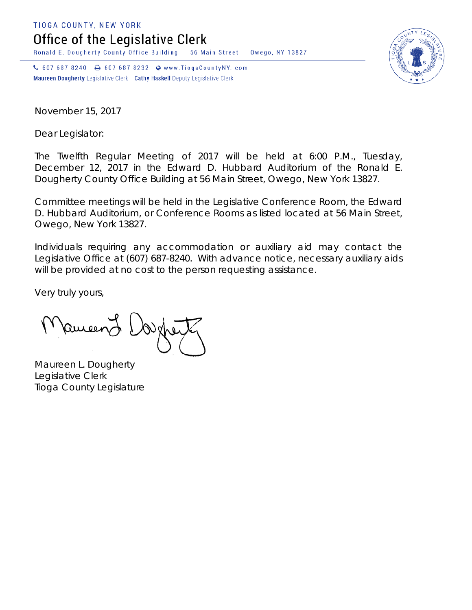TIOGA COUNTY, NEW YORK

Office of the Legislative Clerk

Ronald E. Dougherty County Office Building 56 Main Street Owego, NY 13827

↓ 607 687 8240 → 607 687 8232 → www.TiogaCountyNY.com Maureen Dougherty Legislative Clerk Cathy Haskell Deputy Legislative Clerk

November 15, 2017

Dear Legislator:

The Twelfth Regular Meeting of 2017 will be held at 6:00 P.M., Tuesday, December 12, 2017 in the Edward D. Hubbard Auditorium of the Ronald E. Dougherty County Office Building at 56 Main Street, Owego, New York 13827.

Committee meetings will be held in the Legislative Conference Room, the Edward D. Hubbard Auditorium, or Conference Rooms as listed located at 56 Main Street, Owego, New York 13827.

Individuals requiring any accommodation or auxiliary aid may contact the Legislative Office at (607) 687-8240. With advance notice, necessary auxiliary aids will be provided at no cost to the person requesting assistance.

Very truly yours,

Pameen J

Maureen L. Dougherty Legislative Clerk Tioga County Legislature